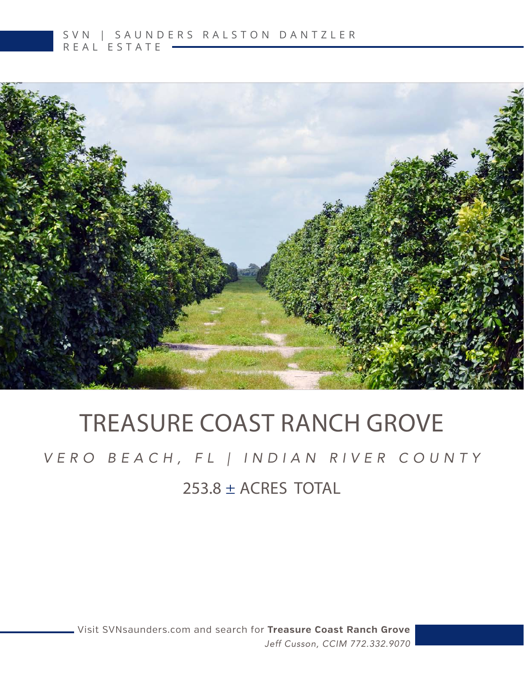

# TREASURE COAST RANCH GROVE

### 253.8 ± ACRES TOTAL *VERO BEACH, FL | INDIAN RIVER COUNTY*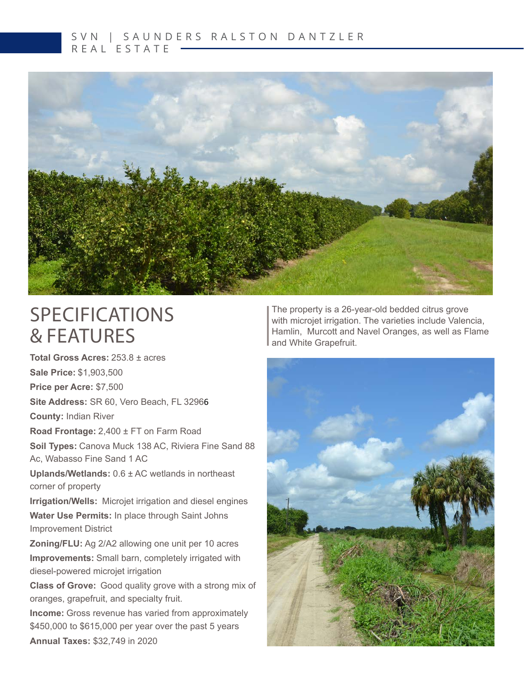#### S V N | S A U N D E R S R A L S T O N D A N T Z L E R REAL ESTATE



### SPECIFICATIONS & FEATURES

**Total Gross Acres:** 253.8 ± acres **Sale Price:** \$1,903,500 **Price per Acre:** \$7,500 **Site Address:** SR 60, Vero Beach, FL 32966 **County:** Indian River **Road Frontage:** 2,400 ± FT on Farm Road **Soil Types:** Canova Muck 138 AC, Riviera Fine Sand 88 Ac, Wabasso Fine Sand 1 AC **Uplands/Wetlands:** 0.6 ± AC wetlands in northeast corner of property **Irrigation/Wells:** Microjet irrigation and diesel engines **Water Use Permits:** In place through Saint Johns Improvement District **Zoning/FLU:** Ag 2/A2 allowing one unit per 10 acres **Improvements:** Small barn, completely irrigated with diesel-powered microjet irrigation **Class of Grove:** Good quality grove with a strong mix of oranges, grapefruit, and specialty fruit. **Income:** Gross revenue has varied from approximately \$450,000 to \$615,000 per year over the past 5 years

The property is a 26-year-old bedded citrus grove with microjet irrigation. The varieties include Valencia, Hamlin, Murcott and Navel Oranges, as well as Flame and White Grapefruit.



**Annual Taxes:** \$32,749 in 2020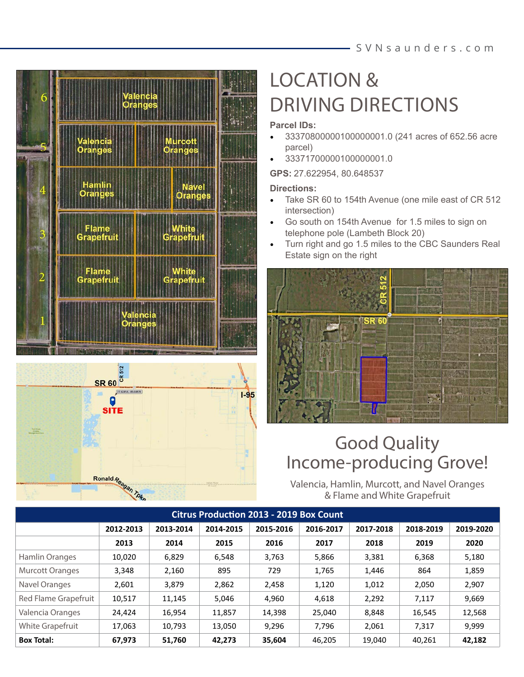#### SVNsaunders .com





## LOCATION & DRIVING DIRECTIONS

#### **Parcel IDs:**

- 33370800000100000001.0 (241 acres of 652.56 acre parcel)
- 33371700000100000001.0

**GPS:** 27.622954, 80.648537

#### **Directions:**

- Take SR 60 to 154th Avenue (one mile east of CR 512 intersection)
- Go south on 154th Avenue for 1.5 miles to sign on telephone pole (Lambeth Block 20)
- Turn right and go 1.5 miles to the CBC Saunders Real Estate sign on the right



### Good Quality Income-producing Grove!

Valencia, Hamlin, Murcott, and Navel Oranges & Flame and White Grapefruit

| <b>Citrus Production 2013 - 2019 Box Count</b> |           |           |           |           |           |           |           |           |
|------------------------------------------------|-----------|-----------|-----------|-----------|-----------|-----------|-----------|-----------|
|                                                | 2012-2013 | 2013-2014 | 2014-2015 | 2015-2016 | 2016-2017 | 2017-2018 | 2018-2019 | 2019-2020 |
|                                                | 2013      | 2014      | 2015      | 2016      | 2017      | 2018      | 2019      | 2020      |
| Hamlin Oranges                                 | 10,020    | 6,829     | 6,548     | 3,763     | 5,866     | 3,381     | 6,368     | 5,180     |
| <b>Murcott Oranges</b>                         | 3,348     | 2,160     | 895       | 729       | 1,765     | 1,446     | 864       | 1,859     |
| Navel Oranges                                  | 2,601     | 3,879     | 2,862     | 2,458     | 1,120     | 1,012     | 2,050     | 2,907     |
| Red Flame Grapefruit                           | 10,517    | 11,145    | 5,046     | 4,960     | 4,618     | 2,292     | 7,117     | 9,669     |
| Valencia Oranges                               | 24,424    | 16,954    | 11,857    | 14,398    | 25,040    | 8,848     | 16,545    | 12,568    |
| White Grapefruit                               | 17,063    | 10,793    | 13,050    | 9,296     | 7,796     | 2,061     | 7,317     | 9,999     |
| <b>Box Total:</b>                              | 67,973    | 51,760    | 42,273    | 35,604    | 46,205    | 19,040    | 40,261    | 42,182    |